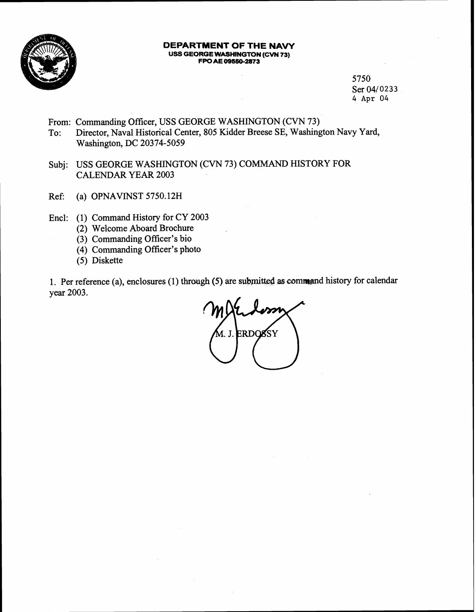

#### **DEPARTMENT OF THE NAVY USS GEORGE WASHINGTON (CVN 73)**  FPO AE 09550-2873

5750 Ser 04/0233 4 **Apr** 04

- From: Commanding Officer, USS GEORGE WASHINGTON (CVN 73)
- To: Director, Naval Historical Center, 805 Kidder Breese SE, Washington Navy Yard, Washington, DC 20374-5059
- Subj: USS GEORGE WASHINGTON (CVN 73) COMMAND HISTORY FOR CALENDAR YEAR 2003
- Ref: (a) OPNAVINST 5750.12H
- Encl: (1) Command History for CY 2003
	- (2) Welcome Aboard Brochure
	- (3) Commanding Officer's bio
	- (4) Commanding Officer's photo
	- (5) Diskette

1. Per reference (a), enclosures (1) through (5) are submitted as command history for calendar year 2003.

**ERDOSSY** A. J.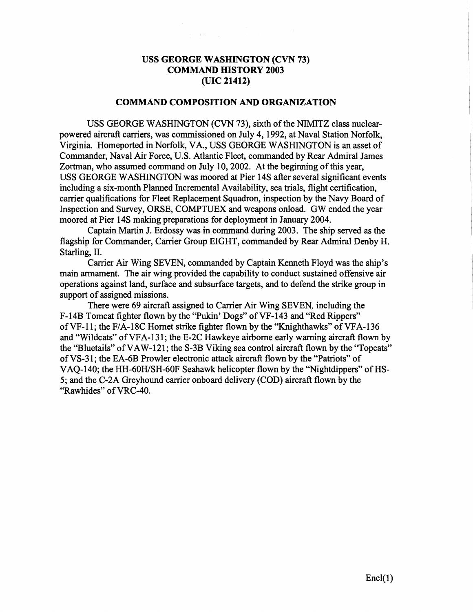### **USS GEORGE WASHINGTON (CVN 73) COMMAND HISTORY 2003 (UIC 21412)**

### **COMMAND COMPOSITION AND ORGANIZATION**

USS GEORGE WASHINGTON (CVN 73), sixth of the NIMITZ class nuclearpowered aircraft carriers, was commissioned on July 4, 1992, at Naval Station Norfolk, Virginia. Homeported in Norfolk, VA., USS GEORGE WASHINGTON is an asset of Commander, Naval Air Force, U.S. Atlantic Fleet, commanded by Rear Admiral James Zortman, who assumed command on July 10,2002. At the beginning of this year, USS GEORGE WASHINGTON was moored at Pier 14s after several significant events including a six-month Planned Incremental Availability, sea trials, flight certification, carrier qualifications for Fleet Replacement Squadron, inspection by the Navy Board of Inspection and Survey, ORSE, COMPTUEX and weapons onload. GW ended the year moored at Pier 14s making preparations for deployment in January 2004.

Captain Martin J. Erdossy was in command during 2003. The ship served as the flagship for Commander, Carrier Group EIGHT, commanded by Rear Admiral Denby H. Starling, II.

Carrier Air Wing SEVEN, commanded by Captain Kenneth Floyd was the ship's main armament. The air wing provided the capability to conduct sustained offensive air operations against land, surface and subsurface targets, and to defend the strike group in support of assigned missions.

There were 69 aircraft assigned to Carrier Air Wing SEVEN, including the F-14B Tomcat fighter flown by the "Pukin' Dogs" of VF-143 and "Red Rippers" of VF-11; the F/A-18C Hornet strike fighter flown by the "Knighthawks" of VFA-136 and "Wildcats" of VFA-131; the E-2C Hawkeye airborne early warning aircraft flown by the "Bluetails" of VAW-121; the S-3B Viking sea control aircraft flown by the "Topcats" of VS-3 1; the EA-6B Prowler electronic attack aircraft flown by the "Patriots" of VAQ-140; the HH-60H/SH-60F Seahawk helicopter flown by the "Nightdippers" of HS-5; and the C-2A Greyhound carrier onboard delivery (COD) aircraft flown by the "Rawhides" of VRC-40.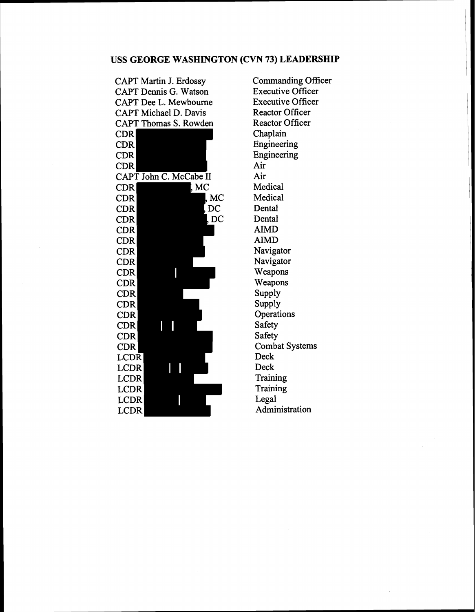# **USS GEORGE WASHINGTON (CVN 73) LEADERSHIP**

| <b>CAPT Martin J. Erdossy</b> |      |
|-------------------------------|------|
| <b>CAPT Dennis G. Watson</b>  |      |
| <b>CAPT Dee L. Mewbourne</b>  |      |
| <b>CAPT Michael D. Davis</b>  |      |
| CAPT Thomas S. Rowden         |      |
| CDR                           |      |
| <b>CDR</b>                    |      |
| CDR                           |      |
| CDR                           |      |
| CAPT John C. McCabe II        |      |
| MC<br>${\rm CDR}$             |      |
| $\rm CDR$                     | , MC |
| $\operatorname{CDR}$          | DC   |
| <b>CDR</b>                    | DC   |
| CDR                           |      |
| CDR                           |      |
| <b>CDR</b>                    |      |
| CDR                           |      |
| $\operatorname{CDR}$          |      |
| CDR                           |      |
| <b>CDR</b>                    |      |
| CDR                           |      |
| CDR                           |      |
| <b>CDR</b>                    |      |
| CDR                           |      |
| <b>CDR</b>                    |      |
| LCDR                          |      |
| LCDR                          |      |
| <b>LCDR</b>                   |      |
| LCDR                          |      |
| LCDR                          |      |
| <b>LCDR</b>                   |      |

Commanding Officer Executive Officer Executive Officer Reactor Officer Reactor Officer Chaplain Engineering Engineering Air Air Medical Medical Dental Dental **AIMD**  AIMD Navigator Navigator Weapons Weapons Supply Supply **Operations** Safety Safety Combat Systems Deck Deck Training **Training** Legal Administration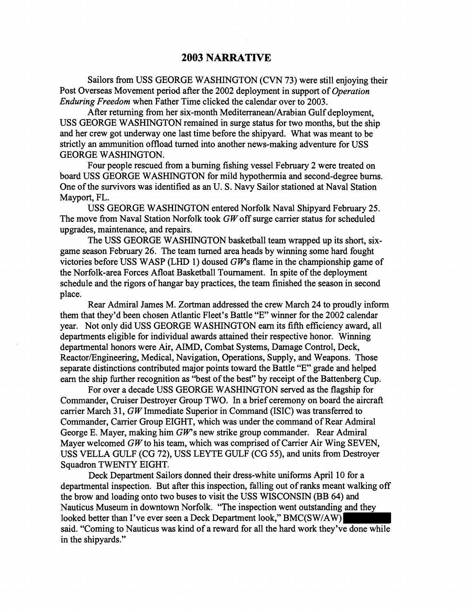### **2003 NARRATIVE**

Sailors from USS GEORGE WASHINGTON (CVN 73) were still enjoying their Post Overseas Movement period after the 2002 deployment in support of *Operation Enduring Freedom* when Father Time clicked the calendar over to 2003,

After returning from her six-month Mediterranean/Arabian Gulf deployment, USS GEORGE WASHINGTON remained in surge status for two months, but the ship and her crew got underway one last time before the shipyard. What was meant to be strictly an ammunition offload turned into another news-making adventure for USS GEORGE WASHINGTON.

Four people rescued from a burning fishing vessel February 2 were treated on board USS GEORGE WASHINGTON for mild hypothermia and second-degree burns. One of the survivors was identified as an U. S. Navy Sailor stationed at Naval Station Mayport, FL.

USS GEORGE WASHINGTON entered Norfolk Naval Shipyard February 25. The move from Naval Station Norfolk took  $GW$  off surge carrier status for scheduled upgrades, maintenance, and repairs.

The USS GEORGE WASHINGTON basketball team wrapped up its short, sixgame season February 26. The team turned area heads by winning some hard fought victories before USS WASP (LHD 1) doused  $GW$ s flame in the championship game of the Norfolk-area Forces Afloat Basketball Tournament. In spite of the deployment schedule and the rigors of hangar bay practices, the team finished the season in second place.

Rear Admiral James M. Zortman addressed the crew March 24 to proudly inform them that they'd been chosen Atlantic Fleet's Battle "E" winner for the 2002 calendar year. Not only did USS GEORGE WASHINGTON earn its fifth efficiency award, all departments eligible for individual awards attained their respective honor. Winning departmental honors were Air, AIMD, Combat Systems, Damage Control, Deck, Reactor/Engineering, Medical, Navigation, Operations, Supply, and Weapons. Those separate distinctions contributed major points toward the Battle "E" grade and helped earn the ship further recognition as "best of the best" by receipt of the Battenberg Cup.

For over a decade USS GEORGE WASHINGTON served as the flagship for Commander, Cruiser Destroyer Group TWO. In a brief ceremony on board the aircraft carrier March 31,  $GW$  Immediate Superior in Command (ISIC) was transferred to Commander, Carrier Group EIGHT, which was under the command of Rear Admiral George E. Mayer, making him  $GW$ s new strike group commander. Rear Admiral Mayer welcomed GW to his team, which was comprised of Carrier Air Wing SEVEN, USS VELLA GULF (CG 72), USS LEYTE GULF (CG 55), and units from Destroyer Squadron TWENTY EIGHT.

Deck Department Sailors donned their dress-white uniforms April 10 for a departmental inspection. But after this inspection, falling out of ranks meant walking off the brow and loading onto two buses to visit the USS WISCONSIN (BB 64) and Nauticus Museum in downtown Norfolk. "The inspection went outstanding and they looked better than I've ever seen a Deck Department look," BMC(SW/AW) said. "Coming to Nauticus was kind of a reward for all the hard work they've done while in the shipyards."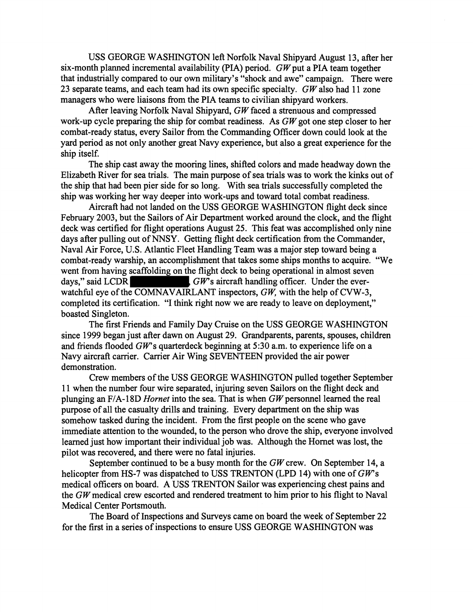USS GEORGE WASHINGTON left Norfolk Naval Shipyard August 13, after her six-month planned incremental availability (PIA) period.  $GW$  put a PIA team together that industrially compared to our own military's "shock and awe" campaign. There were 23 separate teams, and each team had its own specific specialty.  $GW$  also had 11 zone managers who were liaisons from the PIA teams to civilian shipyard workers.

After leaving Norfolk Naval Shipyard,  $GW$  faced a strenuous and compressed work-up cycle preparing the ship for combat readiness. As GW got one step closer to her combat-ready status, every Sailor fiom the Commanding Officer down could look at the yard period as not only another great Navy experience, but also a great experience for the ship itself.

The ship cast away the mooring lines, shifted colors and made headway down the Elizabeth River for sea trials. The main purpose of sea trials was to work the kinks out of the ship that had been pier side for so long. With sea trials successfully completed the ship was working her way deeper into work-ups and toward total combat readiness.

Aircraft had not landed on the USS GEORGE WASHINGTON flight deck since February 2003, but the Sailors of Air Department worked around the clock, and the flight deck was certified for flight operations August 25. This feat was accomplished only nine days after pulling out of NNSY. Getting flight deck certification from the Commander, Naval Air Force, U.S. Atlantic Fleet Handling Team was a major step toward being a combat-ready warship, an accomplishment that takes some ships months to acquire. "We went from having scaffolding on the flight deck to being operational in almost seven days," said LCDR  $GW$ 's aircraft handling officer. Under the ever- $\overline{GW}$ s aircraft handling officer. Under the everwatchful eye of the COMNAVAIRLANT inspectors, GW, with the help of CVW-3, completed its certification. "I think right now we are ready to leave on deployment," boasted Singleton.

The first Friends and Family Day Cruise on the USS GEORGE WASHINGTON since 1999 began just after dawn on August 29. Grandparents, parents, spouses, children and friends flooded  $GW$ 's quarterdeck beginning at 5:30 a.m. to experience life on a Navy aircraft carrier. Carrier Air Wing SEVENTEEN provided the air power demonstration.

Crew members of the USS GEORGE WASHINGTON pulled together September 11 when the number four wire separated, injuring seven Sailors on the flight deck and plunging an F/A-18D *Hornet* into the sea. That is when GW personnel learned the real purpose of all the casualty drills and training. Every department on the ship was somehow tasked during the incident. From the first people on the scene who gave immediate attention to the wounded, to the person who drove the ship, everyone involved learned just how important their individual job was. Although the Hornet was lost, the pilot was recovered, and there were no fatal injuries.

September continued to be a busy month for the GW crew. On September 14, a helicopter from HS-7 was dispatched to USS TRENTON (LPD 14) with one of  $GW$ 's medical officers on board. A USS TRENTON Sailor was experiencing chest pains and the  $GW$  medical crew escorted and rendered treatment to him prior to his flight to Naval Medical Center Portsmouth.

The Board of Inspections and Surveys came on board the week of September 22 for the first in a series of inspections to ensure USS GEORGE WASHINGTON was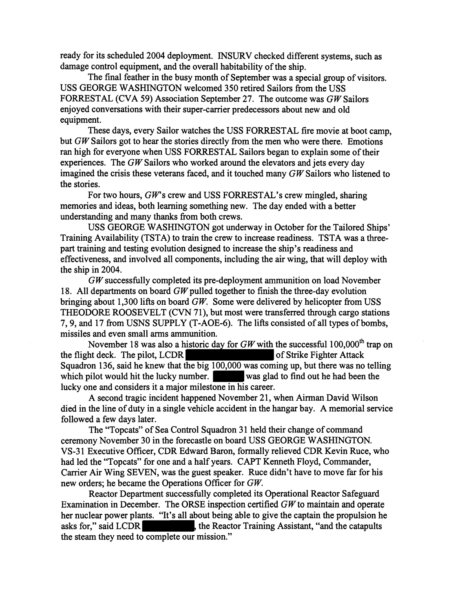ready for its scheduled 2004 deployment. INSURV checked different systems, such as damage control equipment, and the overall habitability of the ship.

The final feather in the busy month of September was a special group of visitors. USS GEORGE WASHINGTON welcomed 350 retired Sailors from the USS FORRESTAL (CVA 59) Association September 27. The outcome was *GW* Sailors enjoyed conversations with their super-carrier predecessors about new and old equipment.

These days, every Sailor watches the USS FORRESTAL fire movie at boot camp, but GW Sailors got to hear the stories directly from the men who were there. Emotions ran high for everyone when USS FORRESTAL Sailors began to explain some of their experiences. The *GW* Sailors who worked around the elevators and jets every day imagined the crisis these veterans faced, and it touched many *G W* Sailors who listened to the stories.

For two hours, *GW*'s crew and USS FORRESTAL's crew mingled, sharing memories and ideas, both learning something new. The day ended with a better understanding and many thanks from both crews.

USS GEORGE WASHINGTON got underway in October for the Tailored Ships' Training Availability (TSTA) to train the crew to increase readiness. TSTA was a threepart training and testing evolution designed to increase the ship's readiness and effectiveness, and involved all components, including the air wing, that will deploy with the ship in 2004.

*GW* successfully completed its pre-deployment ammunition on load November 18. All departments on board *GW* pulled together to finish the three-day evolution bringing about 1,300 lifts on board *GW.* Some were delivered by helicopter from USS THEODORE ROOSEVELT (CVN 71), but most were transferred through cargo stations 7,9, and 17 from USNS SUPPLY (T-AOE-6). The liRs consisted of all types of bombs, missiles and even small arms ammunition.

November 18 was also a historic day for  $GW$  with the successful 100,000<sup>th</sup> trap on ht deck. The pilot, LCDR of Strike Fighter Attack the flight deck. The pilot,  $LCDR$ Squadron 136, said he knew that the big 100,000 was coming up, but there was no telling which pilot would hit the lucky number. was glad to find out he had been the lucky one and considers it a major milestone in his career.

A second tragic incident happened November 21, when Airman David Wilson died in the line of duty in a single vehicle accident in the hangar bay. A memorial service followed a few days later.

The "Topcats" of Sea Control Squadron 31 held their change of command ceremony November 30 in the forecastle on board USS GEORGE WASHINGTON. VS-3 1 Executive Officer, CDR Edward Baron, formally relieved CDR Kevin Ruce, who had led the "Topcats" for one and a half years. CAPT Kenneth Floyd, Commander, Carrier Air Wing SEVEN, was the guest speaker. Ruce didn't have to move far for his new orders; he became the Operations Officer for *GW,* 

Reactor Department successfully completed its Operational Reactor Safeguard Examination in December. The ORSE inspection certified GW to maintain and operate her nuclear power plants. "It's all about being able to give the captain the propulsion he asks for," said LCDR the Reactor Training Assistant, "and the catapults" the Reactor Training Assistant, "and the catapults the steam they need to complete our mission."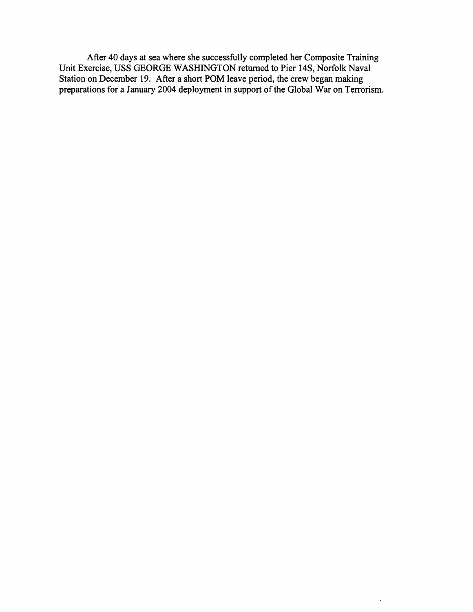After 40 days at sea where she successfully completed her Composite Training Unit Exercise, USS GEORGE WASHINGTON returned to Pier 14S, Norfolk Naval Station on December 19. After a short POM leave period, the crew began making preparations for a January 2004 deployment in support of the Global War on Terrorism.

 $\ddot{\phantom{a}}$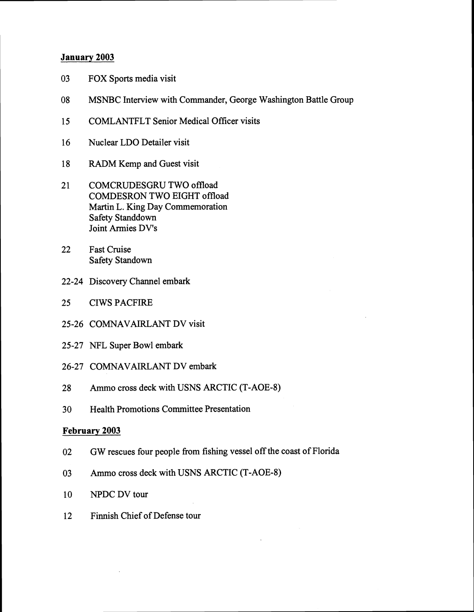### **January** 2003

- 03 FOX Sports media visit
- 08 MSNBC Interview with Commander, George Washington Battle Group
- 15 COMLANTFLT Senior Medical Oficer visits
- 16 Nuclear LDO Detailer visit
- 18 RADM Kemp and Guest visit
- 21 COMCRUDESGRU TWO offload COMDESRON TWO EIGHT offload Martin L. King Day Commemoration Safety Standdown Joint Armies DV's
- 22 Fast Cruise Safety Standown
- 22-24 Discovery Channel embark
- 25 CIWS PACFIRE
- 25-26 COMNAVAIRLANT DV visit
- 25-27 NFL Super Bowl embark
- 26-27 COMNAVAIRLANT DV embark
- 28 Ammo cross deck with USNS ARCTIC (T-AOE-8)
- 30 Health Promotions Committee Presentation

### **February** 2003

- 02 GW rescues four people fiom fishing vessel off the coast of Florida
- 03 Ammo cross deck with USNS ARCTIC (T-AOE-8)
- 10 NPDC DV tour
- 12 Finnish Chief of Defense tour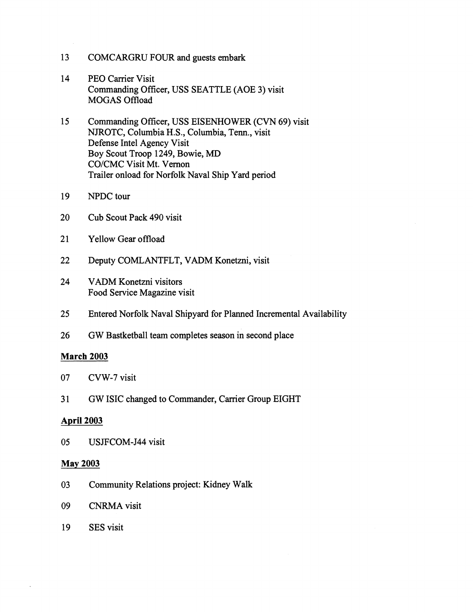- 13 COMCARGRU FOUR and guests embark
- 14 PEO Carrier Visit Commanding Officer, USS SEATTLE (AOE 3) visit MOGAS Offload
- 15 Conmanding Officer, USS EISENHOWER (CVN 69) visit NJROTC, Columbia H.S., Columbia, Tenn., visit Defense Intel Agency Visit Boy Scout Troop 1249, Bowie, MD CO/CMC Visit Mt. Vernon Trailer onload for Norfolk Naval Ship Yard period
- 19 NPDC tour
- 20 Cub Scout Pack 490 visit
- 21 Yellow Gear offload
- 22 Deputy COMLANTFLT, VADM Konetzni, visit
- 24 VADM Konetzni visitors Food Service Magazine visit
- 25 Entered Norfolk Naval Shipyard for Planned Incremental Availability
- 26 GW Bastketball team completes season in second place

#### **March 2003**

- 07 CVW-7 visit
- **3** 1 GW ISIC changed to Commander, Carrier Group EIGHT

### **April 2003**

05 USJFCOM-J44 visit

#### **May 2003**

- 03 Community Relations project: Kidney Walk
- 09 CNRMA visit
- 19 SES visit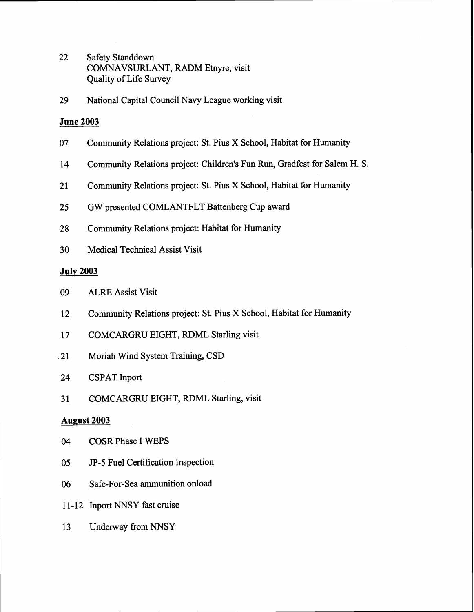- 22 Safety Standdown COMNAVSURLANT, RADM Etnyre, visit Quality of Life Survey
- 29 National Capital Council Navy League working visit

### **June 2003**

- 07 Community Relations project: St. Pius X School, Habitat for Humanity
- 14 Community Relations project: Children's Fun Run, Gradfest for Salem H. S.
- 21 Community Relations project: St. Pius X School, Habitat for Humanity
- 25 GW presented COMLANTFLT Battenberg Cup award
- **28** Community Relations project: Habitat for Humanity
- 30 Medical Technical Assist Visit

### **July 2003**

- 09 ALRE Assist Visit
- 12 Community Relations project: St. Pius X School, Habitat for Humanity
- 17 COMCARGRU EIGHT, RDML Starling visit
- 21 Moriah Wind System Training, CSD
- 24 CSPAT Inport
- 31 COMCARGRU EIGHT, RDML Starling, visit

## **August 2003**

- 04 COSR Phase I WEPS
- 05 JP-5 Fuel Certification Inspection
- 06 Safe-For-Sea ammunition onload
- 11-12 Inport NNSY fast cruise
- 13 Underway from NNSY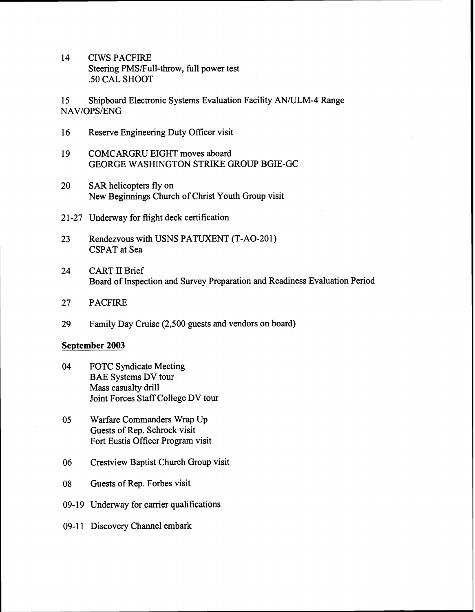14 CIWS PACFIRE Steering PMS/Full-throw, full power test .50 CAL SHOOT

15 Shipboard Electronic Systems Evaluation Facility AN/ULM-4 Range NAV/OPS/ENG

- 16 Reserve Engineering Duty Officer visit
- 19 COMCARGRU EIGHT moves aboard GEORGE WASHINGTON STRIKE GROUP BGIE-GC
- 20 SAR helicopters fly on New Beginnings Church of Christ Youth Group visit
- 2 1-27 Underway for flight deck certification
- 23 Rendezvous with USNS PATUXENT (T-AO-201) CSPAT at Sea
- 24 CART I1 Brief Board of Inspection and Survey Preparation and Readiness Evaluation Period
- 27 PACFIRE
- 29 Family Day Cruise (2,500 guests and vendors on board)

#### **September 2003**

- 04 FOTC Syndicate Meeting BAE Systems DV tour Mass casualty drill Joint Forces Staff College DV tour
- 05 Warfare Commanders Wrap Up Guests of Rep. Schrock visit Fort Eustis Officer Program visit
- *06* Crestview Baptist Church Group visit
- 08 Guests of Rep. Forbes visit
- 09-19 Underway for carrier qualifications
- 09-11 Discovery Channel embark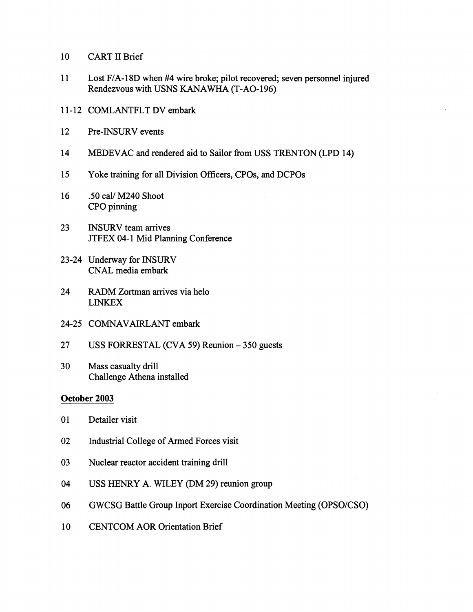- 10 CART I1 Brief
- 11 Lost FIA-18D when #4 wire broke; pilot recovered; seven personnel injured Rendezvous with USNS KANAWHA (T-AO-196)
- 1 1-12 COMLANTFLT DV embark
- 12 Pre-INSURV events
- 14 MEDEVAC and rendered aid to Sailor from USS TRENTON (LPD 14)
- 15 Yoke training for all Division Officers, CPOs, and DCPOs
- 16 .50 caV M240 Shoot CPO pinning
- 23 INSURV team arrives JTFEX 04-1 Mid Planning Conference
- 23-24 Underway for INSURV CNAL media embark
- 24 RADM Zortrnan arrives via helo LINKEX
- 24-25 COMNAVAIRLANT embark
- 27 USS FORRESTAL (CVA 59) Reunion 350 guests
- 30 Mass casualty drill Challenge Athena installed

### **October 2003**

- 01 Detailer visit
- 02 Industrial College of Armed Forces visit
- 03 Nuclear reactor accident training drill
- 04 USS HENRY A. WILEY (DM 29) reunion group
- 06 GWCSG Battle Group Inport Exercise Coordination Meeting (OPSO/CSO)
- 10 CENTCOM AOR Orientation Brief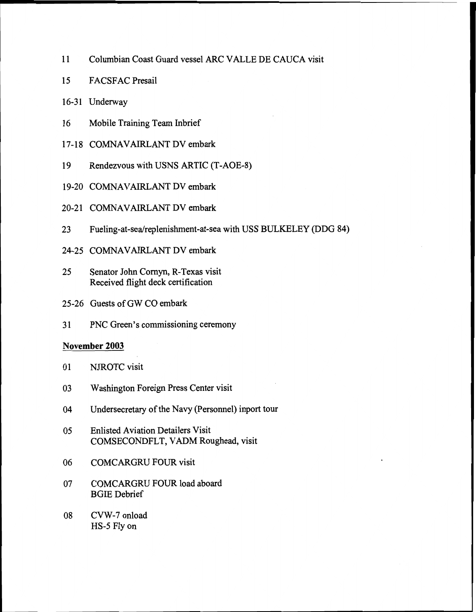- 11 Columbian Coast Guard vessel ARC VALLE DE CAUCA visit
- 15 FACSFAC Presail
- 16-31 Underway
- 16 Mobile Training Team Inbrief
- 17-18 COMNAVAIRLANT DV embark
- 19 Rendezvous with USNS ARTIC (T-AOE-8)
- 19-20 COMNAVAIRLANT DV embark
- 20-21 COMNAVAIRLANT DV embark
- 23 **Fueling-at-sea/replenishment-at-sea** with USS BULKELEY (DDG 84)
- 24-25 COMNAVAIRLANT DV embark
- 25 Senator John Cornyn, R-Texas visit Received flight deck certification
- 25-26 Guests of GW CO embark
- 31 PNC Green's commissioning ceremony

### **November** 2003

- 01 NJROTC visit
- 03 Washington Foreign Press Center visit
- 04 Undersecretary of the Navy (Personnel) inport tour
- 05 Enlisted Aviation Detailers Visit COMSECONDFLT, VADM Roughead, visit
- 06 COMCARGRU FOUR visit
- 07 COMCARGRU FOUR load aboard BGIE Debrief
- 08 CVW-7 onload HS-5 Fly on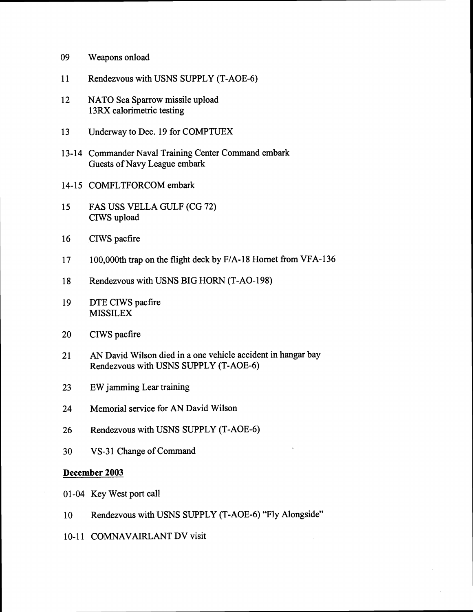- 09 Weapons onload
- 11 Rendezvous with USNS SUPPLY (T-AOE-6)
- 12 NATO Sea Sparrow missile upload 13RX calorimetric testing
- 13 Underway to Dec. 19 for COMPTUEX
- 13-14 Commander Naval Training Center Command embark Guests of Navy League embark
- 14-15 COMFLTFORCOM embark
- 15 FAS USS VELLA GULF (CG 72) CIWS upload
- 16 CIWS pacfire
- 17 100,000th trap on the flight deck by F/A-18 Hornet from VFA-136
- 18 Rendezvous with USNS BIG HORN (T-AO-198)
- 19 DTE CIWS pacfire MISSILEX
- 20 CIWS pacfire
- 21 AN David Wilson died in a one vehicle accident in hangar bay Rendezvous with USNS SUPPLY (T-AOE-6)
- 23 EW jamming Lear training
- 24 Memorial service for AN David Wilson
- 26 Rendezvous with USNS SUPPLY (T-AOE-6)
- 30 VS-31 Change of Command

### **December** 2003

- 01-04 Key West port call
- 10 Rendezvous with USNS SUPPLY (T-AOE-6) "Fly Alongside"
- 10-11 COMNAVAIRLANT DV visit